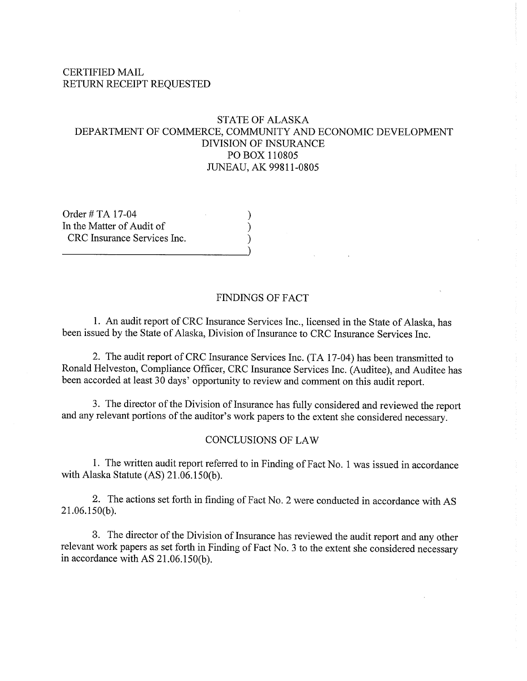#### **CERTIFIED MAIL** RETURN RECEIPT REQUESTED

### **STATE OF ALASKA** DEPARTMENT OF COMMERCE, COMMUNITY AND ECONOMIC DEVELOPMENT **DIVISION OF INSURANCE** PO BOX 110805 JUNEAU, AK 99811-0805

Order # TA 17-04 In the Matter of Audit of CRC Insurance Services Inc.

#### **FINDINGS OF FACT**

1. An audit report of CRC Insurance Services Inc., licensed in the State of Alaska, has been issued by the State of Alaska, Division of Insurance to CRC Insurance Services Inc.

2. The audit report of CRC Insurance Services Inc. (TA 17-04) has been transmitted to Ronald Helveston, Compliance Officer, CRC Insurance Services Inc. (Auditee), and Auditee has been accorded at least 30 days' opportunity to review and comment on this audit report.

3. The director of the Division of Insurance has fully considered and reviewed the report and any relevant portions of the auditor's work papers to the extent she considered necessary.

#### **CONCLUSIONS OF LAW**

1. The written audit report referred to in Finding of Fact No. 1 was issued in accordance with Alaska Statute (AS) 21.06.150(b).

2. The actions set forth in finding of Fact No. 2 were conducted in accordance with AS  $21.06.150(b)$ .

3. The director of the Division of Insurance has reviewed the audit report and any other relevant work papers as set forth in Finding of Fact No. 3 to the extent she considered necessary in accordance with AS 21.06.150(b).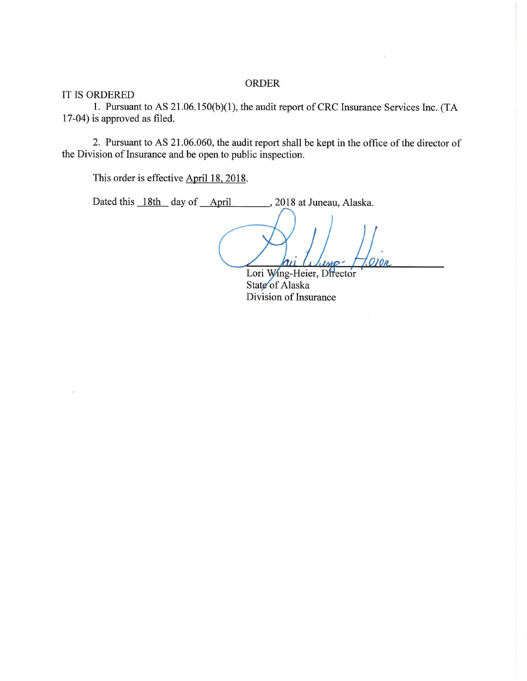#### **ORDER**

IT IS ORDERED

1. Pursuant to AS 21.06.150(b)(1), the audit report of CRC Insurance Services Inc. (TA 17-04) is approved as filed.

2. Pursuant to AS 21.06.060, the audit report shall be kept in the office of the director of the Division of Insurance and be open to public inspection.

This order is effective April 18, 2018.

Dated this 18th day of April 9. 2018 at Juneau, Alaska.

Lori Wing-Heier, Director State of Alaska Division of Insurance

 $O$   $10n$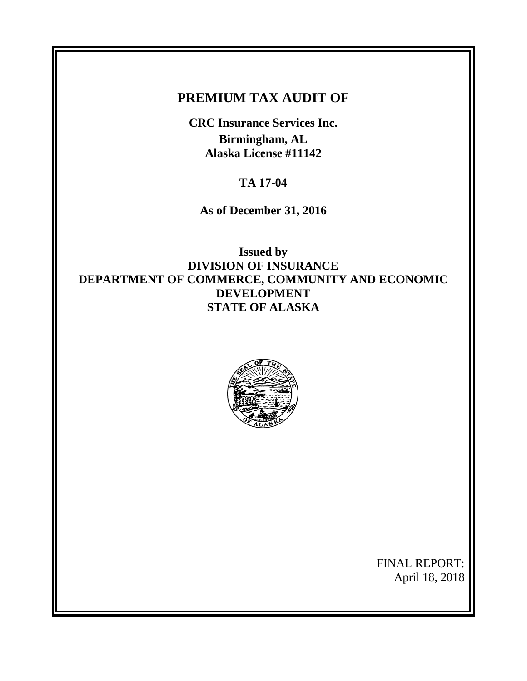# **PREMIUM TAX AUDIT OF**

**CRC Insurance Services Inc. Birmingham, AL Alaska License #11142**

**TA 17-04**

**As of December 31, 2016**

**Issued by DIVISION OF INSURANCE DEPARTMENT OF COMMERCE, COMMUNITY AND ECONOMIC DEVELOPMENT STATE OF ALASKA**



FINAL REPORT: April 18, 2018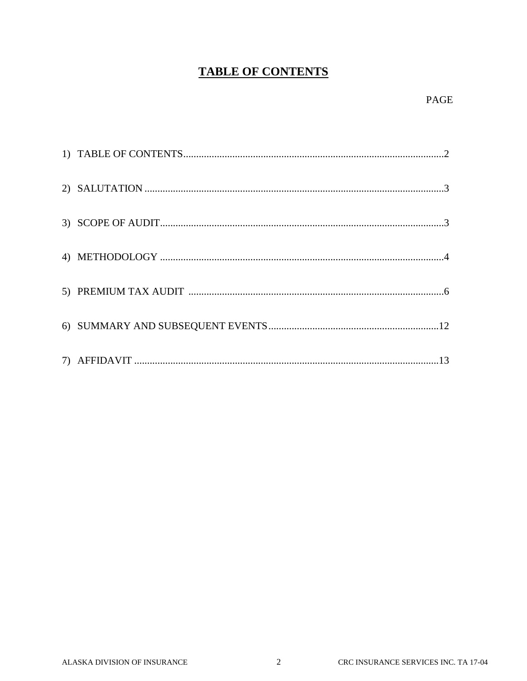# **TABLE OF CONTENTS**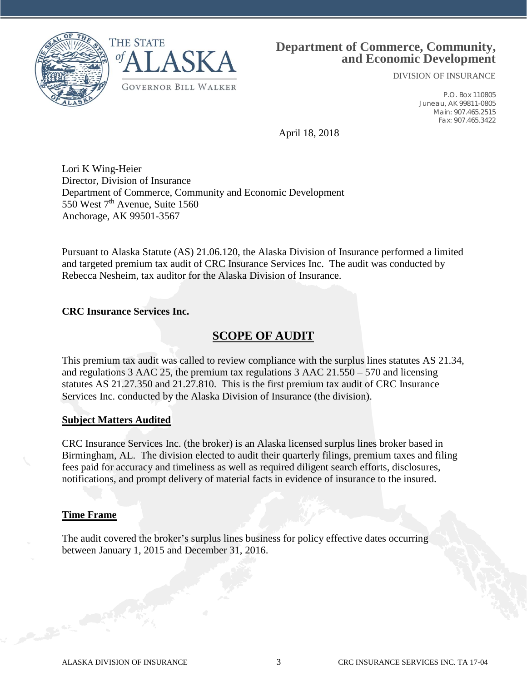



## **Department of Commerce, Community, and Economic Development**

DIVISION OF INSURANCE

P.O. Box 110805 Juneau, AK 99811-0805 Main: 907.465.2515 Fax: 907.465.3422

April 18, 2018

Lori K Wing-Heier Director, Division of Insurance Department of Commerce, Community and Economic Development 550 West  $7<sup>th</sup>$  Avenue, Suite 1560 Anchorage, AK 99501-3567

Pursuant to Alaska Statute (AS) 21.06.120, the Alaska Division of Insurance performed a limited and targeted premium tax audit of CRC Insurance Services Inc. The audit was conducted by Rebecca Nesheim, tax auditor for the Alaska Division of Insurance.

#### **CRC Insurance Services Inc.**

## **SCOPE OF AUDIT**

This premium tax audit was called to review compliance with the surplus lines statutes AS 21.34, and regulations 3 AAC 25, the premium tax regulations 3 AAC 21.550 – 570 and licensing statutes AS 21.27.350 and 21.27.810. This is the first premium tax audit of CRC Insurance Services Inc. conducted by the Alaska Division of Insurance (the division).

#### **Subject Matters Audited**

CRC Insurance Services Inc. (the broker) is an Alaska licensed surplus lines broker based in Birmingham, AL. The division elected to audit their quarterly filings, premium taxes and filing fees paid for accuracy and timeliness as well as required diligent search efforts, disclosures, notifications, and prompt delivery of material facts in evidence of insurance to the insured.

#### **Time Frame**

The audit covered the broker's surplus lines business for policy effective dates occurring between January 1, 2015 and December 31, 2016.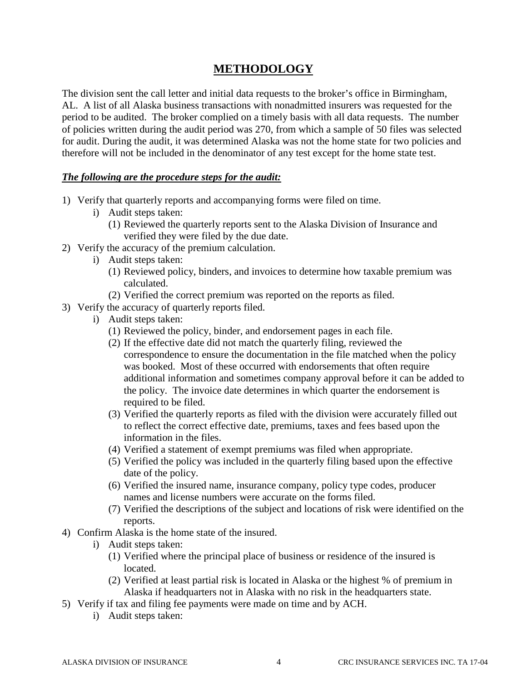# **METHODOLOGY**

The division sent the call letter and initial data requests to the broker's office in Birmingham, AL. A list of all Alaska business transactions with nonadmitted insurers was requested for the period to be audited. The broker complied on a timely basis with all data requests. The number of policies written during the audit period was 270, from which a sample of 50 files was selected for audit. During the audit, it was determined Alaska was not the home state for two policies and therefore will not be included in the denominator of any test except for the home state test.

### *The following are the procedure steps for the audit:*

- 1) Verify that quarterly reports and accompanying forms were filed on time.
	- i) Audit steps taken:
		- (1) Reviewed the quarterly reports sent to the Alaska Division of Insurance and verified they were filed by the due date.
- 2) Verify the accuracy of the premium calculation.
	- i) Audit steps taken:
		- (1) Reviewed policy, binders, and invoices to determine how taxable premium was calculated.
		- (2) Verified the correct premium was reported on the reports as filed.
- 3) Verify the accuracy of quarterly reports filed.
	- i) Audit steps taken:
		- (1) Reviewed the policy, binder, and endorsement pages in each file.
		- (2) If the effective date did not match the quarterly filing, reviewed the correspondence to ensure the documentation in the file matched when the policy was booked. Most of these occurred with endorsements that often require additional information and sometimes company approval before it can be added to the policy. The invoice date determines in which quarter the endorsement is required to be filed.
		- (3) Verified the quarterly reports as filed with the division were accurately filled out to reflect the correct effective date, premiums, taxes and fees based upon the information in the files.
		- (4) Verified a statement of exempt premiums was filed when appropriate.
		- (5) Verified the policy was included in the quarterly filing based upon the effective date of the policy.
		- (6) Verified the insured name, insurance company, policy type codes, producer names and license numbers were accurate on the forms filed.
		- (7) Verified the descriptions of the subject and locations of risk were identified on the reports.
- 4) Confirm Alaska is the home state of the insured.
	- i) Audit steps taken:
		- (1) Verified where the principal place of business or residence of the insured is located.
		- (2) Verified at least partial risk is located in Alaska or the highest % of premium in Alaska if headquarters not in Alaska with no risk in the headquarters state.
- 5) Verify if tax and filing fee payments were made on time and by ACH.
	- i) Audit steps taken: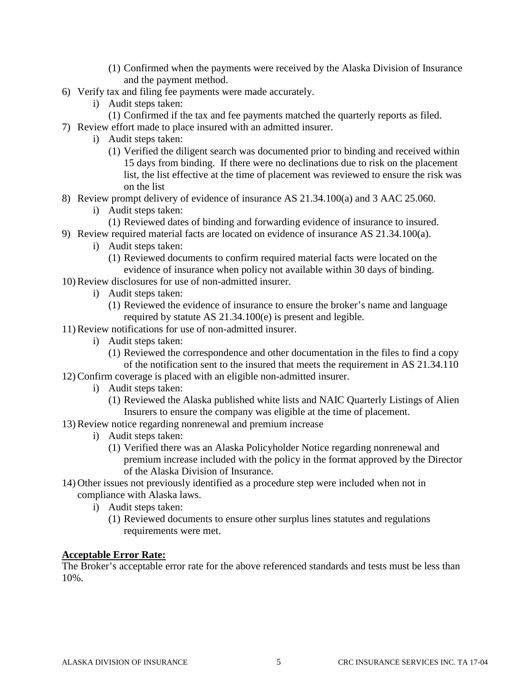- (1) Confirmed when the payments were received by the Alaska Division of Insurance and the payment method.
- 6) Verify tax and filing fee payments were made accurately.
	- i) Audit steps taken:
		- (1) Confirmed if the tax and fee payments matched the quarterly reports as filed.
- 7) Review effort made to place insured with an admitted insurer.
	- i) Audit steps taken:
		- (1) Verified the diligent search was documented prior to binding and received within 15 days from binding. If there were no declinations due to risk on the placement list, the list effective at the time of placement was reviewed to ensure the risk was on the list
- 8) Review prompt delivery of evidence of insurance AS 21.34.100(a) and 3 AAC 25.060.
	- i) Audit steps taken:
		- (1) Reviewed dates of binding and forwarding evidence of insurance to insured.
- 9) Review required material facts are located on evidence of insurance AS 21.34.100(a).
	- i) Audit steps taken:
		- (1) Reviewed documents to confirm required material facts were located on the evidence of insurance when policy not available within 30 days of binding.
- 10) Review disclosures for use of non-admitted insurer.
	- i) Audit steps taken:
		- (1) Reviewed the evidence of insurance to ensure the broker's name and language required by statute AS 21.34.100(e) is present and legible.
- 11) Review notifications for use of non-admitted insurer.
	- i) Audit steps taken:
		- (1) Reviewed the correspondence and other documentation in the files to find a copy of the notification sent to the insured that meets the requirement in AS 21.34.110
- 12) Confirm coverage is placed with an eligible non-admitted insurer.
	- i) Audit steps taken:
		- (1) Reviewed the Alaska published white lists and NAIC Quarterly Listings of Alien Insurers to ensure the company was eligible at the time of placement.
- 13) Review notice regarding nonrenewal and premium increase
	- i) Audit steps taken:
		- (1) Verified there was an Alaska Policyholder Notice regarding nonrenewal and premium increase included with the policy in the format approved by the Director of the Alaska Division of Insurance.
- 14) Other issues not previously identified as a procedure step were included when not in compliance with Alaska laws.
	- i) Audit steps taken:
		- (1) Reviewed documents to ensure other surplus lines statutes and regulations requirements were met.

#### **Acceptable Error Rate:**

The Broker's acceptable error rate for the above referenced standards and tests must be less than 10%.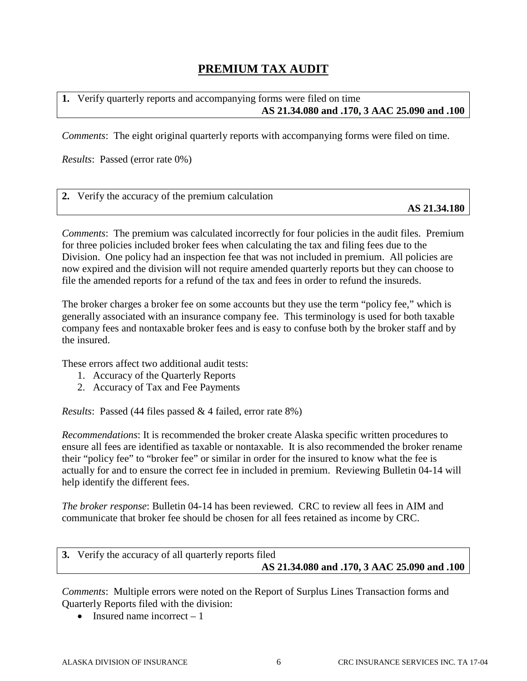# **PREMIUM TAX AUDIT**

### **1.** Verify quarterly reports and accompanying forms were filed on time **AS 21.34.080 and .170, 3 AAC 25.090 and .100**

*Comments*: The eight original quarterly reports with accompanying forms were filed on time.

*Results*: Passed (error rate 0%)

| 2. Verify the accuracy of the premium calculation |              |
|---------------------------------------------------|--------------|
|                                                   | AS 21.34.180 |

*Comments*: The premium was calculated incorrectly for four policies in the audit files. Premium for three policies included broker fees when calculating the tax and filing fees due to the Division. One policy had an inspection fee that was not included in premium. All policies are now expired and the division will not require amended quarterly reports but they can choose to file the amended reports for a refund of the tax and fees in order to refund the insureds.

The broker charges a broker fee on some accounts but they use the term "policy fee," which is generally associated with an insurance company fee. This terminology is used for both taxable company fees and nontaxable broker fees and is easy to confuse both by the broker staff and by the insured.

These errors affect two additional audit tests:

- 1. Accuracy of the Quarterly Reports
- 2. Accuracy of Tax and Fee Payments

*Results*: Passed (44 files passed & 4 failed, error rate 8%)

*Recommendations*: It is recommended the broker create Alaska specific written procedures to ensure all fees are identified as taxable or nontaxable. It is also recommended the broker rename their "policy fee" to "broker fee" or similar in order for the insured to know what the fee is actually for and to ensure the correct fee in included in premium. Reviewing Bulletin 04-14 will help identify the different fees.

*The broker response*: Bulletin 04-14 has been reviewed. CRC to review all fees in AIM and communicate that broker fee should be chosen for all fees retained as income by CRC.

| 3. Verify the accuracy of all quarterly reports filed |  |
|-------------------------------------------------------|--|
| AS 21.34.080 and .170, 3 AAC 25.090 and .100          |  |

*Comments*: Multiple errors were noted on the Report of Surplus Lines Transaction forms and Quarterly Reports filed with the division:

• Insured name incorrect  $-1$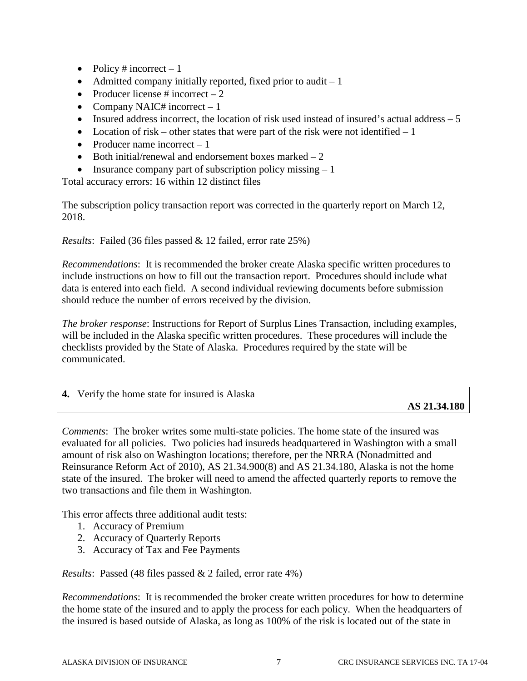- Policy # incorrect  $-1$
- Admitted company initially reported, fixed prior to audit  $-1$
- Producer license  $\#$  incorrect  $-2$
- Company NAIC# incorrect  $-1$
- Insured address incorrect, the location of risk used instead of insured's actual address  $-5$
- Location of risk other states that were part of the risk were not identified  $-1$
- Producer name incorrect  $-1$
- Both initial/renewal and endorsement boxes marked  $-2$
- Insurance company part of subscription policy missing  $-1$

Total accuracy errors: 16 within 12 distinct files

The subscription policy transaction report was corrected in the quarterly report on March 12, 2018.

*Results*: Failed (36 files passed & 12 failed, error rate 25%)

*Recommendations*: It is recommended the broker create Alaska specific written procedures to include instructions on how to fill out the transaction report. Procedures should include what data is entered into each field. A second individual reviewing documents before submission should reduce the number of errors received by the division.

*The broker response*: Instructions for Report of Surplus Lines Transaction, including examples, will be included in the Alaska specific written procedures. These procedures will include the checklists provided by the State of Alaska. Procedures required by the state will be communicated.

| 4. Verify the home state for insured is Alaska |                                                  |
|------------------------------------------------|--------------------------------------------------|
|                                                | $\sim$ $\sim$ $\sim$ $\sim$ $\sim$ $\sim$ $\sim$ |

**AS 21.34.180**

*Comments*: The broker writes some multi-state policies. The home state of the insured was evaluated for all policies. Two policies had insureds headquartered in Washington with a small amount of risk also on Washington locations; therefore, per the NRRA (Nonadmitted and Reinsurance Reform Act of 2010), AS 21.34.900(8) and AS 21.34.180, Alaska is not the home state of the insured. The broker will need to amend the affected quarterly reports to remove the two transactions and file them in Washington.

This error affects three additional audit tests:

- 1. Accuracy of Premium
- 2. Accuracy of Quarterly Reports
- 3. Accuracy of Tax and Fee Payments

*Results*: Passed (48 files passed & 2 failed, error rate 4%)

*Recommendations*: It is recommended the broker create written procedures for how to determine the home state of the insured and to apply the process for each policy. When the headquarters of the insured is based outside of Alaska, as long as 100% of the risk is located out of the state in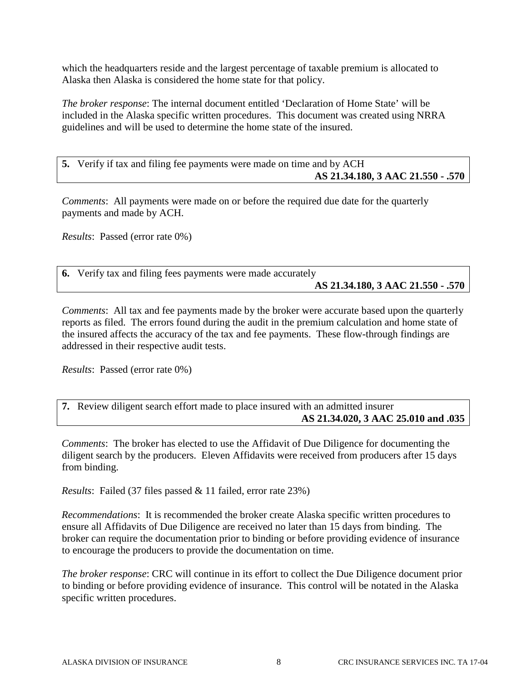which the headquarters reside and the largest percentage of taxable premium is allocated to Alaska then Alaska is considered the home state for that policy.

*The broker response*: The internal document entitled 'Declaration of Home State' will be included in the Alaska specific written procedures. This document was created using NRRA guidelines and will be used to determine the home state of the insured.

**5.** Verify if tax and filing fee payments were made on time and by ACH **AS 21.34.180, 3 AAC 21.550 - .570**

*Comments*: All payments were made on or before the required due date for the quarterly payments and made by ACH.

*Results*: Passed (error rate 0%)

**6.** Verify tax and filing fees payments were made accurately **AS 21.34.180, 3 AAC 21.550 - .570**

*Comments*: All tax and fee payments made by the broker were accurate based upon the quarterly reports as filed. The errors found during the audit in the premium calculation and home state of the insured affects the accuracy of the tax and fee payments. These flow-through findings are addressed in their respective audit tests.

*Results*: Passed (error rate 0%)

**7.** Review diligent search effort made to place insured with an admitted insurer **AS 21.34.020, 3 AAC 25.010 and .035**

*Comments*: The broker has elected to use the Affidavit of Due Diligence for documenting the diligent search by the producers. Eleven Affidavits were received from producers after 15 days from binding.

*Results*: Failed (37 files passed & 11 failed, error rate 23%)

*Recommendations*: It is recommended the broker create Alaska specific written procedures to ensure all Affidavits of Due Diligence are received no later than 15 days from binding. The broker can require the documentation prior to binding or before providing evidence of insurance to encourage the producers to provide the documentation on time.

*The broker response*: CRC will continue in its effort to collect the Due Diligence document prior to binding or before providing evidence of insurance. This control will be notated in the Alaska specific written procedures.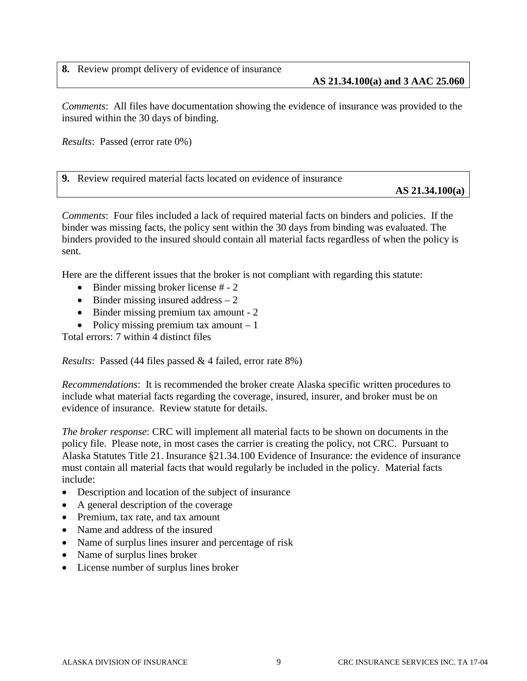**AS 21.34.100(a) and 3 AAC 25.060**

*Comments*: All files have documentation showing the evidence of insurance was provided to the insured within the 30 days of binding.

*Results*: Passed (error rate 0%)

**9.** Review required material facts located on evidence of insurance

**AS 21.34.100(a)** 

*Comments*: Four files included a lack of required material facts on binders and policies. If the binder was missing facts, the policy sent within the 30 days from binding was evaluated. The binders provided to the insured should contain all material facts regardless of when the policy is sent.

Here are the different issues that the broker is not compliant with regarding this statute:

- Binder missing broker license # 2
- Binder missing insured address  $-2$
- Binder missing premium tax amount 2
- Policy missing premium tax amount  $-1$

Total errors: 7 within 4 distinct files

*Results*: Passed (44 files passed & 4 failed, error rate 8%)

*Recommendations*: It is recommended the broker create Alaska specific written procedures to include what material facts regarding the coverage, insured, insurer, and broker must be on evidence of insurance. Review statute for details.

*The broker response*: CRC will implement all material facts to be shown on documents in the policy file. Please note, in most cases the carrier is creating the policy, not CRC. Pursuant to Alaska Statutes Title 21. Insurance §21.34.100 Evidence of Insurance: the evidence of insurance must contain all material facts that would regularly be included in the policy. Material facts include:

- Description and location of the subject of insurance
- A general description of the coverage
- Premium, tax rate, and tax amount
- Name and address of the insured
- Name of surplus lines insurer and percentage of risk
- Name of surplus lines broker
- License number of surplus lines broker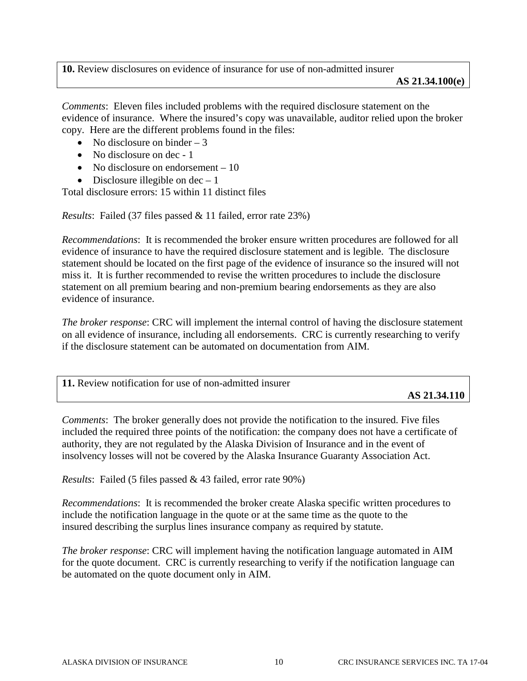**10.** Review disclosures on evidence of insurance for use of non-admitted insurer **AS 21.34.100(e)**

*Comments*: Eleven files included problems with the required disclosure statement on the evidence of insurance. Where the insured's copy was unavailable, auditor relied upon the broker copy. Here are the different problems found in the files:

- No disclosure on binder  $-3$
- No disclosure on dec 1
- No disclosure on endorsement 10
- Disclosure illegible on  $dec 1$

Total disclosure errors: 15 within 11 distinct files

*Results*: Failed (37 files passed & 11 failed, error rate 23%)

*Recommendations*: It is recommended the broker ensure written procedures are followed for all evidence of insurance to have the required disclosure statement and is legible. The disclosure statement should be located on the first page of the evidence of insurance so the insured will not miss it. It is further recommended to revise the written procedures to include the disclosure statement on all premium bearing and non-premium bearing endorsements as they are also evidence of insurance.

*The broker response*: CRC will implement the internal control of having the disclosure statement on all evidence of insurance, including all endorsements. CRC is currently researching to verify if the disclosure statement can be automated on documentation from AIM.

| 11. Review notification for use of non-admitted insurer |              |
|---------------------------------------------------------|--------------|
|                                                         | AS 21.34.110 |

*Comments*: The broker generally does not provide the notification to the insured. Five files included the required three points of the notification: the company does not have a certificate of authority, they are not regulated by the Alaska Division of Insurance and in the event of insolvency losses will not be covered by the Alaska Insurance Guaranty Association Act.

*Results*: Failed (5 files passed & 43 failed, error rate 90%)

*Recommendations*: It is recommended the broker create Alaska specific written procedures to include the notification language in the quote or at the same time as the quote to the insured describing the surplus lines insurance company as required by statute.

*The broker response*: CRC will implement having the notification language automated in AIM for the quote document. CRC is currently researching to verify if the notification language can be automated on the quote document only in AIM.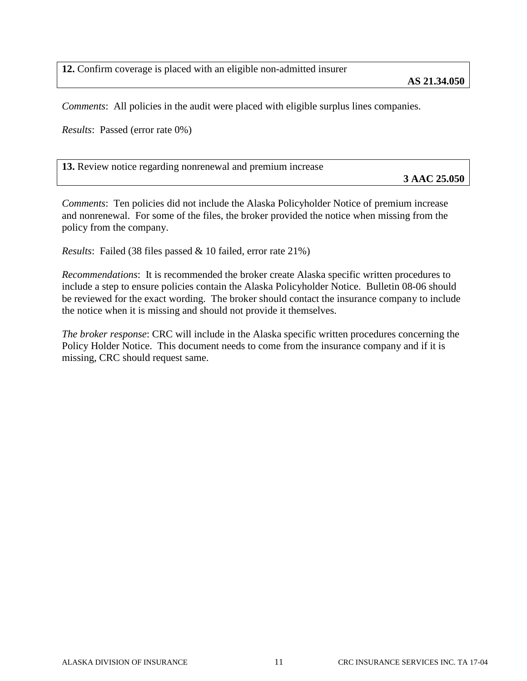**12.** Confirm coverage is placed with an eligible non-admitted insurer

*Comments*: All policies in the audit were placed with eligible surplus lines companies.

*Results*: Passed (error rate 0%)

**13.** Review notice regarding nonrenewal and premium increase

**3 AAC 25.050**

*Comments*: Ten policies did not include the Alaska Policyholder Notice of premium increase and nonrenewal. For some of the files, the broker provided the notice when missing from the policy from the company.

*Results*: Failed (38 files passed & 10 failed, error rate 21%)

*Recommendations*: It is recommended the broker create Alaska specific written procedures to include a step to ensure policies contain the Alaska Policyholder Notice. Bulletin 08-06 should be reviewed for the exact wording. The broker should contact the insurance company to include the notice when it is missing and should not provide it themselves.

*The broker response*: CRC will include in the Alaska specific written procedures concerning the Policy Holder Notice. This document needs to come from the insurance company and if it is missing, CRC should request same.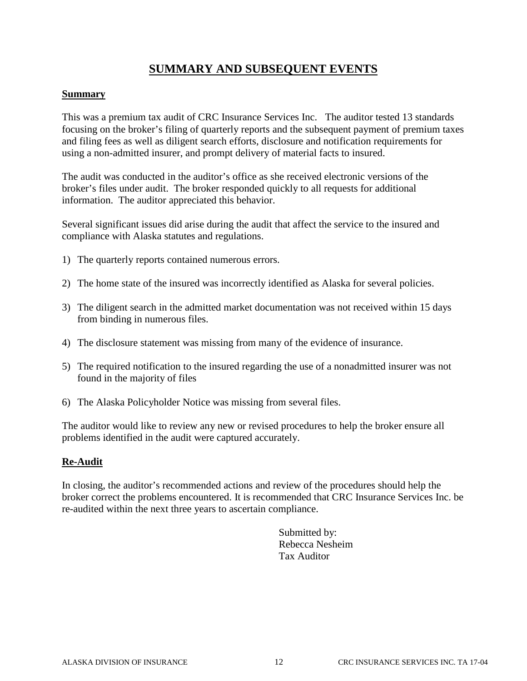# **SUMMARY AND SUBSEQUENT EVENTS**

#### **Summary**

This was a premium tax audit of CRC Insurance Services Inc. The auditor tested 13 standards focusing on the broker's filing of quarterly reports and the subsequent payment of premium taxes and filing fees as well as diligent search efforts, disclosure and notification requirements for using a non-admitted insurer, and prompt delivery of material facts to insured.

The audit was conducted in the auditor's office as she received electronic versions of the broker's files under audit. The broker responded quickly to all requests for additional information. The auditor appreciated this behavior.

Several significant issues did arise during the audit that affect the service to the insured and compliance with Alaska statutes and regulations.

- 1) The quarterly reports contained numerous errors.
- 2) The home state of the insured was incorrectly identified as Alaska for several policies.
- 3) The diligent search in the admitted market documentation was not received within 15 days from binding in numerous files.
- 4) The disclosure statement was missing from many of the evidence of insurance.
- 5) The required notification to the insured regarding the use of a nonadmitted insurer was not found in the majority of files
- 6) The Alaska Policyholder Notice was missing from several files.

The auditor would like to review any new or revised procedures to help the broker ensure all problems identified in the audit were captured accurately.

#### **Re-Audit**

In closing, the auditor's recommended actions and review of the procedures should help the broker correct the problems encountered. It is recommended that CRC Insurance Services Inc. be re-audited within the next three years to ascertain compliance.

> Submitted by: Rebecca Nesheim Tax Auditor